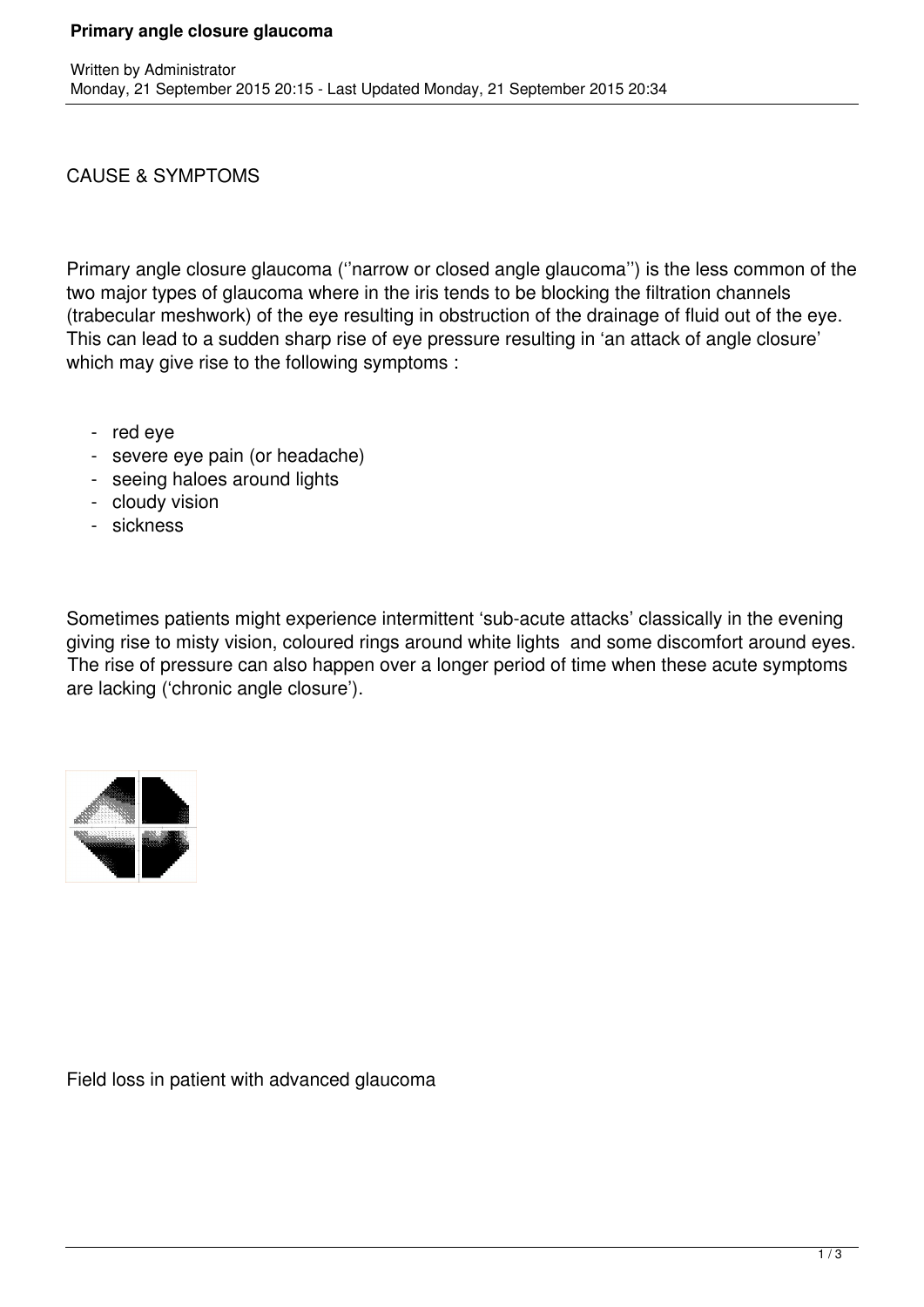#### CAUSE & SYMPTOMS

Primary angle closure glaucoma (''narrow or closed angle glaucoma'') is the less common of the two major types of glaucoma where in the iris tends to be blocking the filtration channels (trabecular meshwork) of the eye resulting in obstruction of the drainage of fluid out of the eye. This can lead to a sudden sharp rise of eye pressure resulting in 'an attack of angle closure' which may give rise to the following symptoms :

- red eye
- severe eye pain (or headache)
- seeing haloes around lights
- cloudy vision
- sickness

Sometimes patients might experience intermittent 'sub-acute attacks' classically in the evening giving rise to misty vision, coloured rings around white lights and some discomfort around eyes. The rise of pressure can also happen over a longer period of time when these acute symptoms are lacking ('chronic angle closure').



Field loss in patient with advanced glaucoma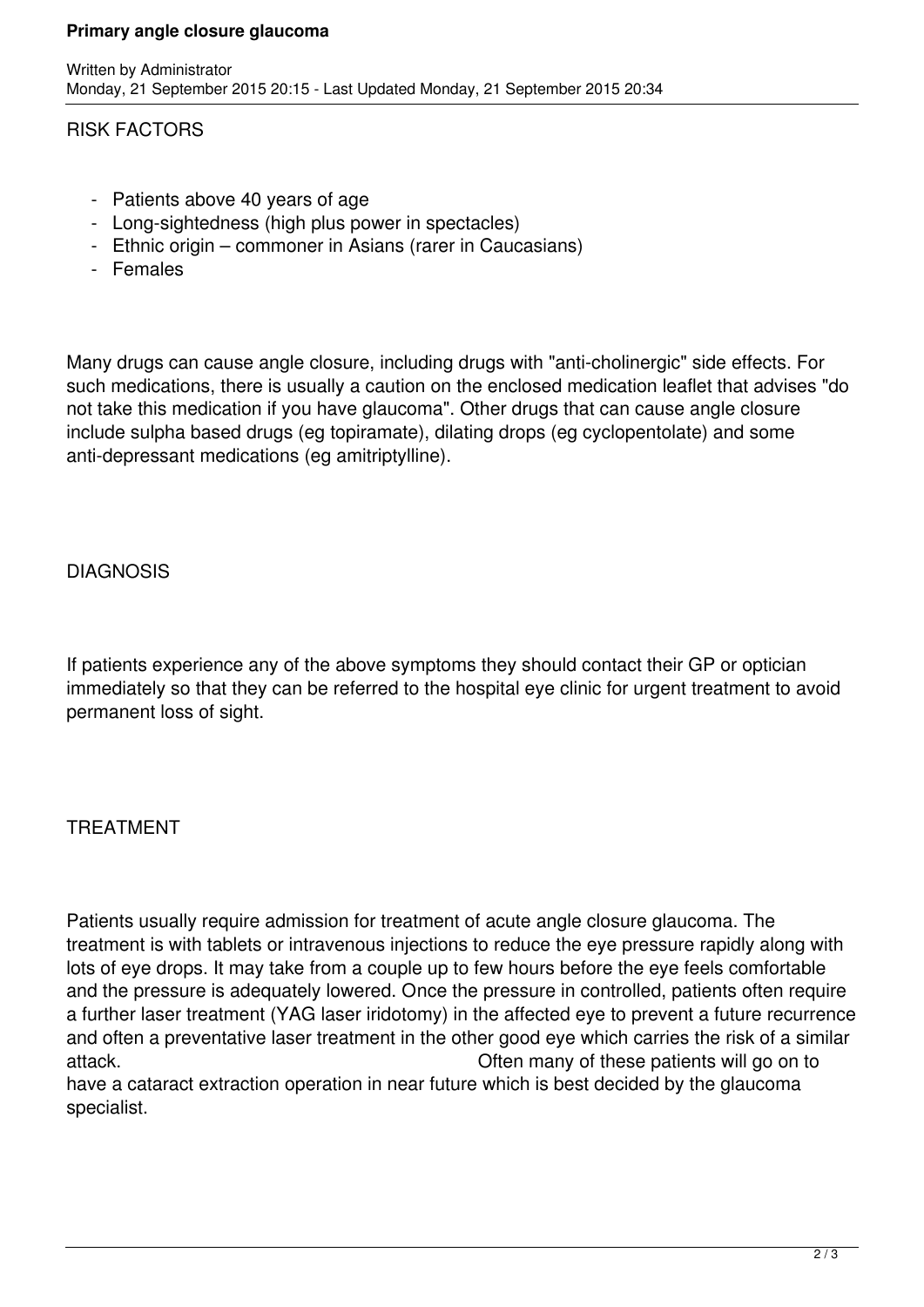#### **Primary angle closure glaucoma**

#### RISK FACTORS

- Patients above 40 years of age
- Long-sightedness (high plus power in spectacles)
- Ethnic origin commoner in Asians (rarer in Caucasians)
- Females

Many drugs can cause angle closure, including drugs with "anti-cholinergic" side effects. For such medications, there is usually a caution on the enclosed medication leaflet that advises "do not take this medication if you have glaucoma". Other drugs that can cause angle closure include sulpha based drugs (eg topiramate), dilating drops (eg cyclopentolate) and some anti-depressant medications (eg amitriptylline).

### DIAGNOSIS

If patients experience any of the above symptoms they should contact their GP or optician immediately so that they can be referred to the hospital eye clinic for urgent treatment to avoid permanent loss of sight.

## TREATMENT

Patients usually require admission for treatment of acute angle closure glaucoma. The treatment is with tablets or intravenous injections to reduce the eye pressure rapidly along with lots of eye drops. It may take from a couple up to few hours before the eye feels comfortable and the pressure is adequately lowered. Once the pressure in controlled, patients often require a further laser treatment (YAG laser iridotomy) in the affected eye to prevent a future recurrence and often a preventative laser treatment in the other good eye which carries the risk of a similar attack. Often many of these patients will go on to have a cataract extraction operation in near future which is best decided by the glaucoma specialist.